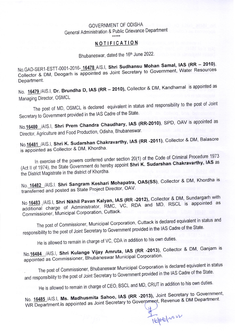## GOVERNMENT OF ODISHA General Administration & Public Grievance Department  $****$

## NOTIFICATION

Bhubaneswar, dated the 16th June 2022.

No.GAD-SER1-ESTT-0001-2016-16478 AIS.I, Shri Sudhansu Mohan Samal, IAS (RR - 2010), Collector & DM, Deogarh is appointed as Joint Secretary to Government, Water Resources Department.

No. 16479 /AIS.I, Dr. Brundha D, IAS (RR - 2010), Collector & DM, Kandhamal is appointed as Managing Director, OSMCL

The post of MD, OSMCL is declared equivalent in status and responsibility to the post of Joint Secretary to Government provided in the IAS Cadre of the State.

No. 16480 /AIS.I, Shri Prem Chandra Chaudhary, IAS (RR-2010), SPD, OAV is appointed as Director, Agriculture and Food Production, Odisha, Bhubaneswar.

No.16481 /AIS.I, Shri K. Sudarshan Chakravarthy, IAS (RR -2011), Collector & DM, Balasore is appointed as Collector & DM, Khordha.

In exercise of the powers conferred under section 20(1) of the Code of Criminal Procedure 1973 (Act II of 1974), the State Government do hereby appoint Shri K. Sudarshan Chakravarthy, IAS as the District Magistrate in the district of Khordha.

No. 16482 /AIS.I. Shri Sangram Keshari Mohapatra, OAS(SS), Collector & DM, Khordha is transferred and posted as State Project Director, OAV.

No 16483 /AIS.I, Shri Nikhil Pavan Kalyan, IAS (RR -2012), Collector & DM, Sundargarh with additional charge of Administrator, RMC, VC, RDA and MD, RSCL is appointed as Commissioner, Municipal Corporation, Cuttack.

The post of Commissioner, Municipal Corporation, Cuttack is declared equivalent in status and responsibility to the post of Joint Secretary to Government provided in the IAS Cadre of the State.

He is allowed to remain in charge of VC, CDA in addition to his own duties.

No.16484 /AIS.I, Shri Kulange Vijay Amruta, IAS (RR -2013), Collector & DM, Ganjam is appointed as Commissioner, Bhubaneswar Municipal Corporation.

The post of Commissioner, Bhubaneswar Municipal Corporation is declared equivalent in status and responsibility to the post of Joint Secretary to Government provided in the IAS Cadre of the State.

He is allowed to remain in charge of CEO, BSCL and MD, CRUT in addition to his own duties.

No. 16485 /AIS.I, Ms. Madhusmita Sahoo, IAS (RR -2013), Joint Secretary to Government, WR Department is appointed as Joint Secretary to Government, Revenue & DM Department.

Tople/ no 22